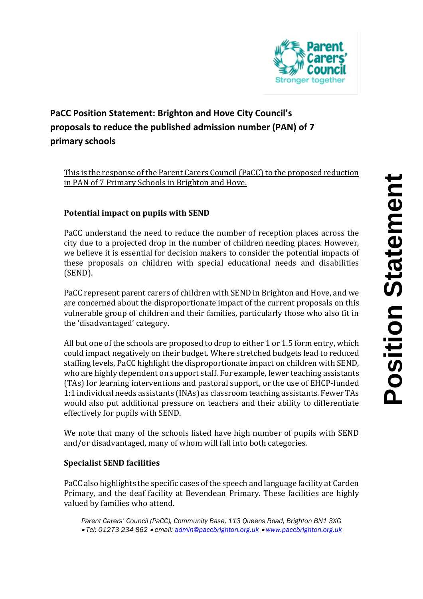

## **PaCC Position Statement: Brighton and Hove City Council's proposals to reduce the published admission number (PAN) of 7 primary schools**

This is the response of the Parent Carers Council (PaCC) to the proposed reduction in PAN of 7 Primary Schools in Brighton and Hove.

## **Potential impact on pupils with SEND**

PaCC understand the need to reduce the number of reception places across the city due to a projected drop in the number of children needing places. However, we believe it is essential for decision makers to consider the potential impacts of these proposals on children with special educational needs and disabilities (SEND).

PaCC represent parent carers of children with SEND in Brighton and Hove, and we are concerned about the disproportionate impact of the current proposals on this vulnerable group of children and their families, particularly those who also fit in the 'disadvantaged' category.

All but one of the schools are proposed to drop to either 1 or 1.5 form entry, which could impact negatively on their budget. Where stretched budgets lead to reduced staffing levels, PaCC highlight the disproportionate impact on children with SEND, who are highly dependent on support staff. For example, fewer teaching assistants (TAs) for learning interventions and pastoral support, or the use of EHCP-funded 1:1 individual needs assistants (INAs) as classroom teaching assistants. Fewer TAs would also put additional pressure on teachers and their ability to differentiate effectively for pupils with SEND.

We note that many of the schools listed have high number of pupils with SEND and/or disadvantaged, many of whom will fall into both categories.

## **Specialist SEND facilities**

PaCC also highlights the specific cases of the speech and language facility at Carden Primary, and the deaf facility at Bevendean Primary. These facilities are highly valued by families who attend.

*Parent Carers' Council (PaCC), Community Base, 113 Queens Road, Brighton BN1 3XG Tel: 01273 234 862 email: [admin@paccbrighton.org.uk](mailto:admin@paccbrighton.org.uk) [www.paccbrighton.org.uk](http://www.paccbrighton.org.uk/)*